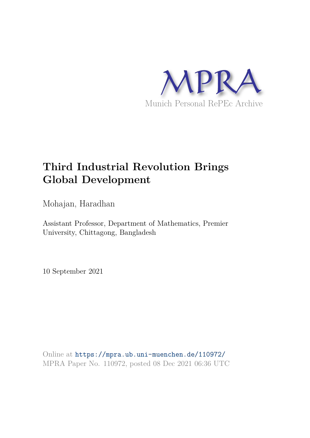

# **Third Industrial Revolution Brings Global Development**

Mohajan, Haradhan

Assistant Professor, Department of Mathematics, Premier University, Chittagong, Bangladesh

10 September 2021

Online at https://mpra.ub.uni-muenchen.de/110972/ MPRA Paper No. 110972, posted 08 Dec 2021 06:36 UTC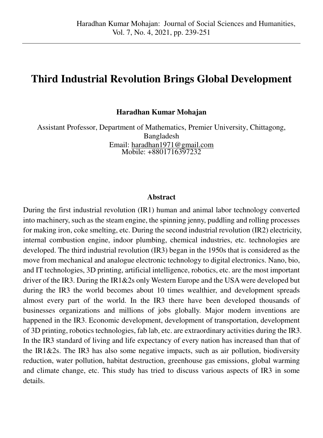## **Third Industrial Revolution Brings Global Development**

**Haradhan Kumar Mohajan** 

Assistant Professor, Department of Mathematics, Premier University, Chittagong, Bangladesh Email: [haradhan1971@gmail.com](mailto:haradhan1971@gmail.com)  Mobile: +8801716397232

#### **Abstract**

During the first industrial revolution (IR1) human and animal labor technology converted into machinery, such as the steam engine, the spinning jenny, puddling and rolling processes for making iron, coke smelting, etc. During the second industrial revolution (IR2) electricity, internal combustion engine, indoor plumbing, chemical industries, etc. technologies are developed. The third industrial revolution (IR3) began in the 1950s that is considered as the move from mechanical and analogue electronic technology to digital electronics. Nano, bio, and IT technologies, 3D printing, artificial intelligence, robotics, etc. are the most important driver of the IR3. During the IR1&2s only Western Europe and the USA were developed but during the IR3 the world becomes about 10 times wealthier, and development spreads almost every part of the world. In the IR3 there have been developed thousands of businesses organizations and millions of jobs globally. Major modern inventions are happened in the IR3. Economic development, development of transportation, development of 3D printing, robotics technologies, fab lab, etc. are extraordinary activities during the IR3. In the IR3 standard of living and life expectancy of every nation has increased than that of the IR1&2s. The IR3 has also some negative impacts, such as air pollution, biodiversity reduction, water pollution, habitat destruction, greenhouse gas emissions, global warming and climate change, etc. This study has tried to discuss various aspects of IR3 in some details.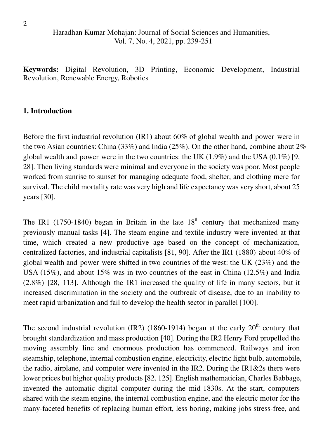**Keywords:** Digital Revolution, 3D Printing, Economic Development, Industrial Revolution, Renewable Energy, Robotics

## **1. Introduction**

Before the first industrial revolution (IR1) about 60% of global wealth and power were in the two Asian countries: China (33%) and India (25%). On the other hand, combine about 2% global wealth and power were in the two countries: the UK  $(1.9\%)$  and the USA  $(0.1\%)$  [9, 28]. Then living standards were minimal and everyone in the society was poor. Most people worked from sunrise to sunset for managing adequate food, shelter, and clothing mere for survival. The child mortality rate was very high and life expectancy was very short, about 25 years [30].

The IR1 (1750-1840) began in Britain in the late  $18<sup>th</sup>$  century that mechanized many previously manual tasks [4]. The steam engine and textile industry were invented at that time, which created a new productive age based on the concept of mechanization, centralized factories, and industrial capitalists [81, 90]. After the IR1 (1880) about 40% of global wealth and power were shifted in two countries of the west: the UK (23%) and the USA (15%), and about 15% was in two countries of the east in China (12.5%) and India (2.8%) [28, 113]. Although the IR1 increased the quality of life in many sectors, but it increased discrimination in the society and the outbreak of disease, due to an inability to meet rapid urbanization and fail to develop the health sector in parallel [100].

The second industrial revolution (IR2) (1860-1914) began at the early  $20<sup>th</sup>$  century that brought standardization and mass production [40]. During the IR2 Henry Ford propelled the moving assembly line and enormous production has commenced. Railways and iron steamship, telephone, internal combustion engine, electricity, electric light bulb, automobile, the radio, airplane, and computer were invented in the IR2. During the IR1&2s there were lower prices but higher quality products [82, 125]. English mathematician, Charles Babbage, invented the automatic digital computer during the mid-1830s. At the start, computers shared with the steam engine, the internal combustion engine, and the electric motor for the many-faceted benefits of replacing human effort, less boring, making jobs stress-free, and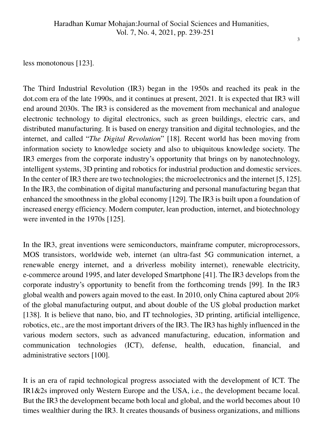less monotonous [123].

The Third Industrial Revolution (IR3) began in the 1950s and reached its peak in the dot.com era of the late 1990s, and it continues at present, 2021. It is expected that IR3 will end around 2030s. The IR3 is considered as the movement from mechanical and analogue electronic technology to digital electronics, such as green buildings, electric cars, and distributed manufacturing. It is based on energy transition and digital technologies, and the internet, and called "*The Digital Revolution*" [18]. Recent world has been moving from information society to knowledge society and also to ubiquitous knowledge society. The IR3 emerges from the corporate industry"s opportunity that brings on by nanotechnology, intelligent systems, 3D printing and robotics for industrial production and domestic services. In the center of IR3 there are two technologies; the microelectronics and the internet [5, 125]. In the IR3, the combination of digital manufacturing and personal manufacturing began that enhanced the smoothness in the global economy [129]. The IR3 is built upon a foundation of increased energy efficiency. Modern computer, lean production, internet, and biotechnology were invented in the 1970s [125].

In the IR3, great inventions were semiconductors, mainframe computer, microprocessors, MOS transistors, worldwide web, internet (an ultra-fast 5G communication internet, a renewable energy internet, and a driverless mobility internet), renewable electricity, e-commerce around 1995, and later developed Smartphone [41]. The IR3 develops from the corporate industry"s opportunity to benefit from the forthcoming trends [99]. In the IR3 global wealth and powers again moved to the east. In 2010, only China captured about 20% of the global manufacturing output, and about double of the US global production market [138]. It is believe that nano, bio, and IT technologies, 3D printing, artificial intelligence, robotics, etc., are the most important drivers of the IR3. The IR3 has highly influenced in the various modern sectors, such as advanced manufacturing, education, information and communication technologies (ICT), defense, health, education, financial, and administrative sectors [100].

It is an era of rapid technological progress associated with the development of ICT. The IR1&2s improved only Western Europe and the USA, i.e., the development became local. But the IR3 the development became both local and global, and the world becomes about 10 times wealthier during the IR3. It creates thousands of business organizations, and millions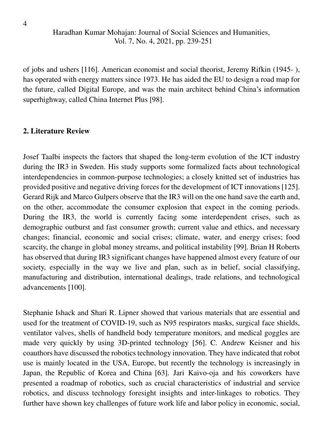of jobs and ushers [116]. American economist and social theorist, Jeremy Rifkin (1945- ), has operated with energy matters since 1973. He has aided the EU to design a road map for the future, called Digital Europe, and was the main architect behind China"s information superhighway, called China Internet Plus [98].

## **2. Literature Review**

Josef Taalbi inspects the factors that shaped the long-term evolution of the ICT industry during the IR3 in Sweden. His study supports some formalized facts about technological interdependencies in common-purpose technologies; a closely knitted set of industries has provided positive and negative driving forces for the development of ICT innovations [125]. Gerard Rijk and Marco Gulpers observe that the IR3 will on the one hand save the earth and, on the other, accommodate the consumer explosion that expect in the coming periods. During the IR3, the world is currently facing some interdependent crises, such as demographic outburst and fast consumer growth; current value and ethics, and necessary changes; financial, economic and social crises; climate, water, and energy crises; food scarcity, the change in global money streams, and political instability [99]. Brian H Roberts has observed that during IR3 significant changes have happened almost every feature of our society, especially in the way we live and plan, such as in belief, social classifying, manufacturing and distribution, international dealings, trade relations, and technological advancements [100].

Stephanie Ishack and Shari R. Lipner showed that various materials that are essential and used for the treatment of COVID-19, such as N95 respirators masks, surgical face shields, ventilator valves, shells of handheld body temperature monitors, and medical goggles are made very quickly by using 3D-printed technology [56]. C. Andrew Keisner and his coauthors have discussed the robotics technology innovation. They have indicated that robot use is mainly located in the USA, Europe, but recently the technology is increasingly in Japan, the Republic of Korea and China [63]. Jari Kaivo-oja and his coworkers have presented a roadmap of robotics, such as crucial characteristics of industrial and service robotics, and discuss technology foresight insights and inter-linkages to robotics. They further have shown key challenges of future work life and labor policy in economic, social,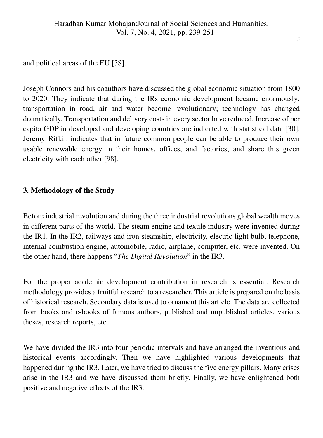and political areas of the EU [58].

Joseph Connors and his coauthors have discussed the global economic situation from 1800 to 2020. They indicate that during the IRs economic development became enormously; transportation in road, air and water become revolutionary; technology has changed dramatically. Transportation and delivery costs in every sector have reduced. Increase of per capita GDP in developed and developing countries are indicated with statistical data [30]. Jeremy Rifkin indicates that in future common people can be able to produce their own usable renewable energy in their homes, offices, and factories; and share this green electricity with each other [98].

## **3. Methodology of the Study**

Before industrial revolution and during the three industrial revolutions global wealth moves in different parts of the world. The steam engine and textile industry were invented during the IR1. In the IR2, railways and iron steamship, electricity, electric light bulb, telephone, internal combustion engine, automobile, radio, airplane, computer, etc. were invented. On the other hand, there happens "*The Digital Revolution*" in the IR3.

For the proper academic development contribution in research is essential. Research methodology provides a fruitful research to a researcher. This article is prepared on the basis of historical research. Secondary data is used to ornament this article. The data are collected from books and e-books of famous authors, published and unpublished articles, various theses, research reports, etc.

We have divided the IR3 into four periodic intervals and have arranged the inventions and historical events accordingly. Then we have highlighted various developments that happened during the IR3. Later, we have tried to discuss the five energy pillars. Many crises arise in the IR3 and we have discussed them briefly. Finally, we have enlightened both positive and negative effects of the IR3.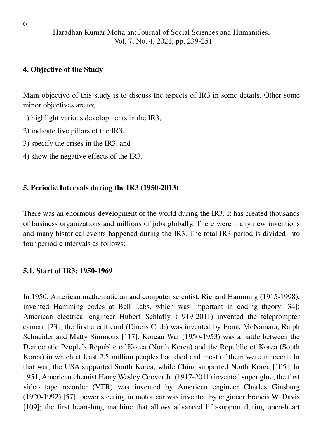## **4. Objective of the Study**

Main objective of this study is to discuss the aspects of IR3 in some details. Other some minor objectives are to;

- 1) highlight various developments in the IR3,
- 2) indicate five pillars of the IR3,
- 3) specify the crises in the IR3, and
- 4) show the negative effects of the IR3.

## **5. Periodic Intervals during the IR3 (1950-2013)**

There was an enormous development of the world during the IR3. It has created thousands of business organizations and millions of jobs globally. There were many new inventions and many historical events happened during the IR3. The total IR3 period is divided into four periodic intervals as follows:

## **5.1. Start of IR3: 1950-1969**

In 1950, American mathematician and computer scientist, Richard Hamming (1915-1998), invented Hamming codes at Bell Labs, which was important in coding theory [34]; American electrical engineer Hubert Schlafly (1919-2011) invented the teleprompter camera [23]; the first credit card (Diners Club) was invented by Frank McNamara, Ralph Schneider and Matty Simmons [117]. Korean War (1950-1953) was a battle between the Democratic People"s Republic of Korea (North Korea) and the Republic of Korea (South Korea) in which at least 2.5 million peoples had died and most of them were innocent. In that war, the USA supported South Korea, while China supported North Korea [105]. In 1951, American chemist Harry Wesley Coover Jr. (1917-2011) invented super glue; the first video tape recorder (VTR) was invented by American engineer Charles Ginsburg (1920-1992) [57]; power steering in motor car was invented by engineer Francis W. Davis [109]; the first heart-lung machine that allows advanced life-support during open-heart

6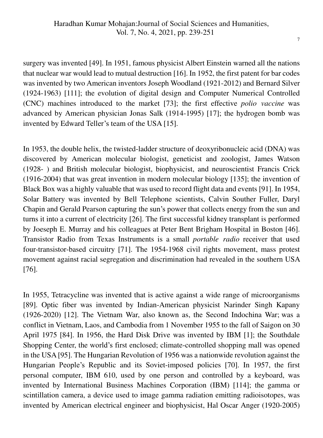surgery was invented [49]. In 1951, famous physicist Albert Einstein warned all the nations that nuclear war would lead to mutual destruction [16]. In 1952, the first patent for bar codes was invented by two American inventors Joseph Woodland (1921-2012) and Bernard Silver (1924-1963) [111]; the evolution of digital design and Computer Numerical Controlled (CNC) machines introduced to the market [73]; the first effective *polio vaccine* was advanced by American physician Jonas Salk (1914-1995) [17]; the hydrogen bomb was invented by Edward Teller's team of the USA [15].

In 1953, the double helix, the twisted-ladder structure of deoxyribonucleic acid (DNA) was discovered by American molecular biologist, geneticist and zoologist, James Watson (1928- ) and British molecular biologist, biophysicist, and neuroscientist Francis Crick (1916-2004) that was great invention in modern molecular biology [135]; the invention of Black Box was a highly valuable that was used to record flight data and events [91]. In 1954, Solar Battery was invented by Bell Telephone scientists, Calvin Souther Fuller, Daryl Chapin and Gerald Pearson capturing the sun"s power that collects energy from the sun and turns it into a current of electricity [26]. The first successful kidney transplant is performed by Joeseph E. Murray and his colleagues at Peter Bent Brigham Hospital in Boston [46]. Transistor Radio from Texas Instruments is a small *portable radio* receiver that used four-transistor-based circuitry [71]. The 1954-1968 civil rights movement, mass protest movement against racial segregation and discrimination had revealed in the southern USA [76].

In 1955, Tetracycline was invented that is active against a wide range of microorganisms [89]. Optic fiber was invented by Indian-American physicist Narinder Singh Kapany (1926-2020) [12]. The Vietnam War, also known as, the Second Indochina War; was a conflict in Vietnam, Laos, and Cambodia from 1 November 1955 to the fall of Saigon on 30 April 1975 [84]. In 1956, the Hard Disk Drive was invented by IBM [1]; the Southdale Shopping Center, the world"s first enclosed; climate-controlled shopping mall was opened in the USA [95]. The Hungarian Revolution of 1956 was a nationwide revolution against the Hungarian People"s Republic and its Soviet-imposed policies [70]. In 1957, the first personal computer, IBM 610, used by one person and controlled by a keyboard, was invented by International Business Machines Corporation (IBM) [114]; the gamma or scintillation camera, a device used to image gamma radiation emitting radioisotopes, was invented by American electrical engineer and biophysicist, Hal Oscar Anger (1920-2005)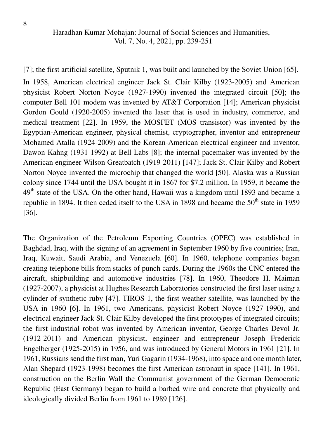[7]; the first artificial satellite, Sputnik 1, was built and launched by the Soviet Union [65].

In 1958, American electrical engineer Jack St. Clair Kilby (1923-2005) and American physicist Robert Norton Noyce (1927-1990) invented the integrated circuit [50]; the computer Bell 101 modem was invented by AT&T Corporation [14]; American physicist Gordon Gould (1920-2005) invented the laser that is used in industry, commerce, and medical treatment [22]. In 1959, the MOSFET (MOS transistor) was invented by the Egyptian-American engineer, physical chemist, cryptographer, inventor and entrepreneur Mohamed Atalla (1924-2009) and the Korean-American electrical engineer and inventor, Dawon Kahng (1931-1992) at Bell Labs [8]; the internal pacemaker was invented by the American engineer Wilson Greatbatch (1919-2011) [147]; Jack St. Clair Kilby and Robert Norton Noyce invented the microchip that changed the world [50]. Alaska was a Russian colony since 1744 until the USA bought it in 1867 for \$7.2 million. In 1959, it became the 49<sup>th</sup> state of the USA. On the other hand, Hawaii was a kingdom until 1893 and became a republic in 1894. It then ceded itself to the USA in 1898 and became the  $50<sup>th</sup>$  state in 1959 [36].

The Organization of the Petroleum Exporting Countries (OPEC) was established in Baghdad, Iraq, with the signing of an agreement in September 1960 by five countries; Iran, Iraq, Kuwait, Saudi Arabia, and Venezuela [60]. In 1960, telephone companies began creating telephone bills from stacks of punch cards. During the 1960s the CNC entered the aircraft, shipbuilding and automotive industries [78]. In 1960, Theodore H. Maiman (1927-2007), a physicist at Hughes Research Laboratories constructed the first laser using a cylinder of synthetic ruby [47]. TIROS-1, the first weather satellite, was launched by the USA in 1960 [6]. In 1961, two Americans, physicist Robert Noyce (1927-1990), and electrical engineer Jack St. Clair Kilby developed the first prototypes of integrated circuits; the first industrial robot was invented by American inventor, George Charles Devol Jr. (1912-2011) and American physicist, engineer and entrepreneur Joseph Frederick Engelberger (1925-2015) in 1956, and was introduced by General Motors in 1961 [21]. In 1961, Russians send the first man, Yuri Gagarin (1934-1968), into space and one month later, Alan Shepard (1923-1998) becomes the first American astronaut in space [141]. In 1961, construction on the Berlin Wall the Communist government of the German Democratic Republic (East Germany) began to build a barbed wire and concrete that physically and ideologically divided Berlin from 1961 to 1989 [126].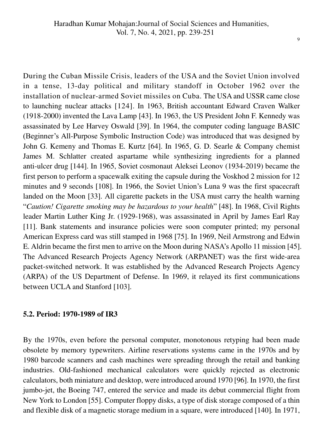During the Cuban Missile Crisis, leaders of the USA and the Soviet Union involved in a tense, 13-day political and military standoff in October 1962 over the installation of nuclear-armed Soviet missiles on Cuba. The USA and USSR came close to launching nuclear attacks [124]. In 1963, British accountant Edward Craven Walker (1918-2000) invented the Lava Lamp [43]. In 1963, the US President John F. Kennedy was assassinated by Lee Harvey Oswald [39]. In 1964, the computer coding language BASIC (Beginner's All-Purpose Symbolic Instruction Code) was introduced that was designed by John G. Kemeny and Thomas E. Kurtz [64]. In 1965, G. D. Searle & Company chemist James M. Schlatter created aspartame while synthesizing ingredients for a planned anti-ulcer drug [144]. In 1965, Soviet cosmonaut Aleksei Leonov (1934-2019) became the first person to perform a spacewalk exiting the capsule during the Voskhod 2 mission for 12 minutes and 9 seconds [108]. In 1966, the Soviet Union's Luna 9 was the first spacecraft landed on the Moon [33]. All cigarette packets in the USA must carry the health warning "*Caution! Cigarette smoking may be hazardous to your health*" [48]. In 1968, Civil Rights leader Martin Luther King Jr. (1929-1968), was assassinated in April by James Earl Ray [11]. Bank statements and insurance policies were soon computer printed; my personal American Express card was still stamped in 1968 [75]. In 1969, Neil Armstrong and Edwin E. Aldrin became the first men to arrive on the Moon during NASA"s Apollo 11 mission [45]. The Advanced Research Projects Agency Network (ARPANET) was the first wide-area packet-switched network. It was established by the Advanced Research Projects Agency (ARPA) of the US Department of Defense. In 1969, it relayed its first communications between UCLA and Stanford [103].

## **5.2. Period: 1970-1989 of IR3**

By the 1970s, even before the personal computer, monotonous retyping had been made obsolete by memory typewriters. Airline reservations systems came in the 1970s and by 1980 barcode scanners and cash machines were spreading through the retail and banking industries. Old-fashioned mechanical calculators were quickly rejected as electronic calculators, both miniature and desktop, were introduced around 1970 [96]. In 1970, the first jumbo-jet, the Boeing 747, entered the service and made its debut commercial flight from New York to London [55]. Computer floppy disks, a type of disk storage composed of a thin and flexible disk of a magnetic storage medium in a square, were introduced [140]*.* In 1971,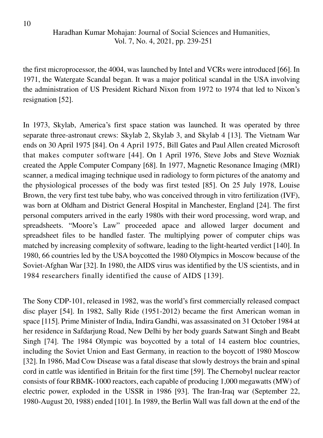the first microprocessor, the 4004, was launched by Intel and VCRs were introduced [66]. In 1971, the Watergate Scandal began. It was a major political scandal in the USA involving the administration of US President Richard Nixon from 1972 to 1974 that led to Nixon"s resignation [52].

In 1973, Skylab, America's first space station was launched. It was operated by three separate three-astronaut crews: Skylab 2, Skylab 3, and Skylab 4 [13]. The Vietnam War ends on 30 April 1975 [84]. On 4 April 1975, Bill Gates and Paul Allen created Microsoft that makes computer software [44]. On 1 April 1976, Steve Jobs and Steve Wozniak created the Apple Computer Company [68]. In 1977, Magnetic Resonance Imaging (MRI) scanner, a medical imaging technique used in radiology to form pictures of the anatomy and the physiological processes of the body was first tested [85]. On 25 July 1978, Louise Brown, the very first test tube baby, who was conceived through in vitro fertilization (IVF), was born at Oldham and District General Hospital in Manchester, England [24]. The first personal computers arrived in the early 1980s with their word processing, word wrap, and spreadsheets. "Moore"s Law" proceeded apace and allowed larger document and spreadsheet files to be handled faster. The multiplying power of computer chips was matched by increasing complexity of software, leading to the light-hearted verdict [140]. In 1980, 66 countries led by the USA boycotted the 1980 Olympics in Moscow because of the Soviet-Afghan War [32]. In 1980, the AIDS virus was identified by the US scientists, and in 1984 researchers finally identified the cause of AIDS [139].

The Sony CDP-101, released in 1982, was the world"s first commercially released compact disc player [54]. In 1982, Sally Ride (1951-2012) became the first American woman in space [115]. Prime Minister of India, Indira Gandhi, was assassinated on 31 October 1984 at her residence in Safdarjung Road, New Delhi by her body guards Satwant Singh and Beabt Singh [74]. The 1984 Olympic was boycotted by a total of 14 eastern bloc countries, including the Soviet Union and East Germany, in reaction to the boycott of 1980 Moscow [32]. In 1986, Mad Cow Disease was a fatal disease that slowly destroys the brain and spinal cord in cattle was identified in Britain for the first time [59]. The Chernobyl nuclear reactor consists of four RBMK-1000 reactors, each capable of producing 1,000 megawatts (MW) of electric power, exploded in the USSR in 1986 [93]. The Iran-Iraq war (September 22, 1980-August 20, 1988) ended [101]. In 1989, the Berlin Wall was fall down at the end of the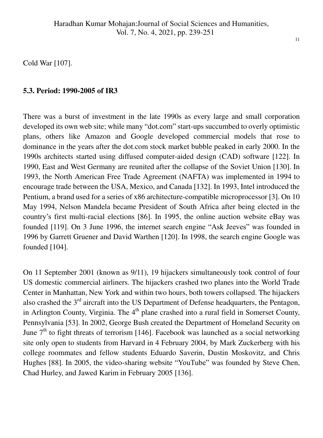Cold War [107].

## **5.3. Period: 1990-2005 of IR3**

There was a burst of investment in the late 1990s as every large and small corporation developed its own web site; while many "dot.com" start-ups succumbed to overly optimistic plans, others like Amazon and Google developed commercial models that rose to dominance in the years after the dot.com stock market bubble peaked in early 2000. In the 1990s architects started using diffused computer-aided design (CAD) software [122]. In 1990, East and West Germany are reunited after the collapse of the Soviet Union [130]. In 1993, the North American Free Trade Agreement (NAFTA) was implemented in 1994 to encourage trade between the USA, Mexico, and Canada [132]. In 1993, Intel introduced the Pentium, a brand used for a series of x86 architecture-compatible microprocessor [3]. On 10 May 1994, Nelson Mandela became President of South Africa after being elected in the country"s first multi-racial elections [86]. In 1995, the online auction website eBay was founded [119]. On 3 June 1996, the internet search engine "Ask Jeeves" was founded in 1996 by Garrett Gruener and David Warthen [120]. In 1998, the search engine Google was founded [104].

On 11 September 2001 (known as 9/11), 19 hijackers simultaneously took control of four US domestic commercial airliners. The hijackers crashed two planes into the World Trade Center in Manhattan, New York and within two hours, both towers collapsed. The hijackers also crashed the  $3<sup>rd</sup>$  aircraft into the US Department of Defense headquarters, the Pentagon, in Arlington County, Virginia. The  $4<sup>th</sup>$  plane crashed into a rural field in Somerset County, Pennsylvania [53]. In 2002, George Bush created the Department of Homeland Security on June  $7<sup>th</sup>$  to fight threats of terrorism [146]. Facebook was launched as a social networking site only open to students from Harvard in 4 February 2004, by Mark Zuckerberg with his college roommates and fellow students Eduardo Saverin, Dustin Moskovitz, and Chris Hughes [88]. In 2005, the video-sharing website "YouTube" was founded by Steve Chen, Chad Hurley, and Jawed Karim in February 2005 [136].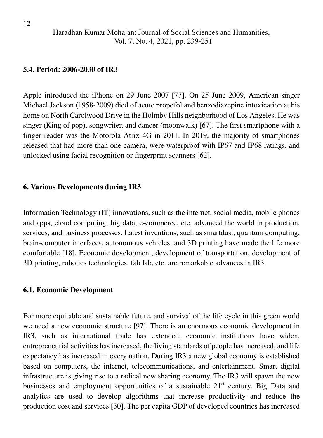#### **5.4. Period: 2006-2030 of IR3**

Apple introduced the iPhone on 29 June 2007 [77]. On 25 June 2009, American singer Michael Jackson (1958-2009) died of acute propofol and benzodiazepine intoxication at his home on North Carolwood Drive in the Holmby Hills neighborhood of Los Angeles. He was singer (King of pop), songwriter, and dancer (moonwalk) [67]. The first smartphone with a finger reader was the Motorola Atrix 4G in 2011. In 2019, the majority of smartphones released that had more than one camera, were waterproof with IP67 and IP68 ratings, and unlocked using facial recognition or fingerprint scanners [62].

### **6. Various Developments during IR3**

Information Technology (IT) innovations, such as the internet, social media, mobile phones and apps, cloud computing, big data, e-commerce, etc. advanced the world in production, services, and business processes. Latest inventions, such as smartdust, quantum computing, brain-computer interfaces, autonomous vehicles, and 3D printing have made the life more comfortable [18]. Economic development, development of transportation, development of 3D printing, robotics technologies, fab lab, etc. are remarkable advances in IR3.

#### **6.1. Economic Development**

For more equitable and sustainable future, and survival of the life cycle in this green world we need a new economic structure [97]. There is an enormous economic development in IR3, such as international trade has extended, economic institutions have widen, entrepreneurial activities has increased, the living standards of people has increased, and life expectancy has increased in every nation. During IR3 a new global economy is established based on computers, the internet, telecommunications, and entertainment. Smart digital infrastructure is giving rise to a radical new sharing economy. The IR3 will spawn the new businesses and employment opportunities of a sustainable 21<sup>st</sup> century. Big Data and analytics are used to develop algorithms that increase productivity and reduce the production cost and services [30]. The per capita GDP of developed countries has increased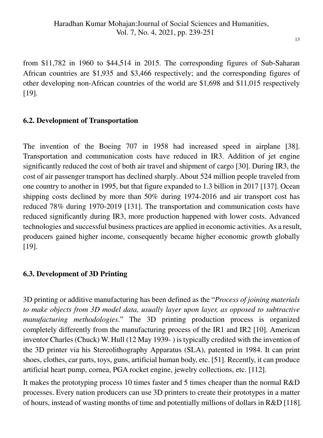from \$11,782 in 1960 to \$44,514 in 2015. The corresponding figures of Sub-Saharan African countries are \$1,935 and \$3,466 respectively; and the corresponding figures of other developing non-African countries of the world are \$1,698 and \$11,015 respectively [19].

## **6.2. Development of Transportation**

The invention of the Boeing 707 in 1958 had increased speed in airplane [38]. Transportation and communication costs have reduced in IR3. Addition of jet engine significantly reduced the cost of both air travel and shipment of cargo [30]. During IR3, the cost of air passenger transport has declined sharply. About 524 million people traveled from one country to another in 1995, but that figure expanded to 1.3 billion in 2017 [137]. Ocean shipping costs declined by more than 50% during 1974-2016 and air transport cost has reduced 78% during 1970-2019 [131]. The transportation and communication costs have reduced significantly during IR3, more production happened with lower costs. Advanced technologies and successful business practices are applied in economic activities. As a result, producers gained higher income, consequently became higher economic growth globally [19].

## **6.3. Development of 3D Printing**

3D printing or additive manufacturing has been defined as the "*Process of joining materials to make objects from 3D model data, usually layer upon layer, as opposed to subtractive manufacturing methodologies*." The 3D printing production process is organized completely differently from the manufacturing process of the IR1 and IR2 [10]. American inventor Charles (Chuck) W. Hull (12 May 1939- ) is typically credited with the invention of the 3D printer via his Stereolithography Apparatus (SLA), patented in 1984. It can print shoes, clothes, car parts, toys, guns, artificial human body, etc. [51]. Recently, it can produce artificial heart pump, cornea, PGA rocket engine, jewelry collections, etc. [112].

It makes the prototyping process 10 times faster and 5 times cheaper than the normal R&D processes. Every nation producers can use 3D printers to create their prototypes in a matter of hours, instead of wasting months of time and potentially millions of dollars in R&D [118].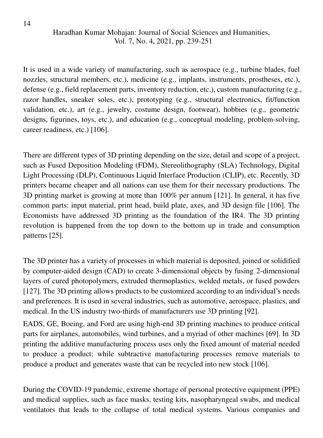It is used in a wide variety of manufacturing, such as aerospace (e.g., turbine blades, fuel nozzles, structural members, etc.), medicine (e.g., implants, instruments, prostheses, etc.), defense (e.g., field replacement parts, inventory reduction, etc.), custom manufacturing (e.g., razor handles, sneaker soles, etc.), prototyping (e.g., structural electronics, fit/function validation, etc.), art (e.g., jewelry, costume design, footwear), hobbies (e.g., geometric designs, figurines, toys, etc.), and education (e.g., conceptual modeling, problem-solving, career readiness, etc.) [106].

There are different types of 3D printing depending on the size, detail and scope of a project, such as Fused Deposition Modeling (FDM), Stereolithography (SLA) Technology, Digital Light Processing (DLP), Continuous Liquid Interface Production (CLIP), etc. Recently, 3D printers became cheaper and all nations can use them for their necessary productions. The 3D printing market is growing at more than 100% per annum [121]. In general, it has five common parts: input material, print head, build plate, axes, and 3D design file [106]. The Economists have addressed 3D printing as the foundation of the IR4. The 3D printing revolution is happened from the top down to the bottom up in trade and consumption patterns [25].

The 3D printer has a variety of processes in which material is deposited, joined or solidified by computer-aided design (CAD) to create 3-dimensional objects by fusing 2-dimensional layers of cured photopolymers, extruded thermoplastics, welded metals, or fused powders [127]*.* The 3D printing allows products to be customized according to an individual"s needs and preferences. It is used in several industries, such as automotive, aerospace, plastics, and medical. In the US industry two-thirds of manufacturers use 3D printing [92].

EADS, GE, Boeing, and Ford are using high-end 3D printing machines to produce critical parts for airplanes, automobiles, wind turbines, and a myriad of other machines [69]. In 3D printing the additive manufacturing process uses only the fixed amount of material needed to produce a product; while subtractive manufacturing processes remove materials to produce a product and generates waste that can be recycled into new stock [106].

During the COVID-19 pandemic, extreme shortage of personal protective equipment (PPE) and medical supplies, such as face masks, testing kits, nasopharyngeal swabs, and medical ventilators that leads to the collapse of total medical systems. Various companies and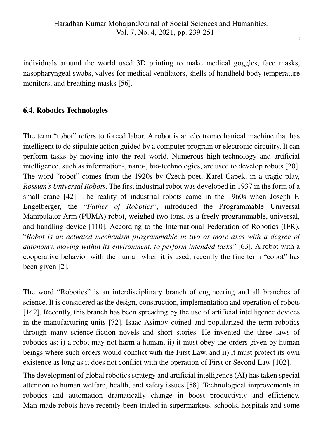individuals around the world used 3D printing to make medical goggles, face masks, nasopharyngeal swabs, valves for medical ventilators, shells of handheld body temperature monitors, and breathing masks [56].

## **6.4. Robotics Technologies**

The term "robot" refers to forced labor. A robot is an electromechanical machine that has intelligent to do stipulate action guided by a computer program or electronic circuitry. It can perform tasks by moving into the real world. Numerous high-technology and artificial intelligence, such as information-, nano-, bio-technologies, are used to develop robots [20]. The word "robot" comes from the 1920s by Czech poet, Karel Capek, in a tragic play, *Rossum's Universal Robots*. The first industrial robot was developed in 1937 in the form of a small crane [42]. The reality of industrial robots came in the 1960s when Joseph F. Engelberger, the "*Father of Robotics*", introduced the Programmable Universal Manipulator Arm (PUMA) robot, weighed two tons, as a freely programmable, universal, and handling device [110]. According to the International Federation of Robotics (IFR), "*Robot is an actuated mechanism programmable in two or more axes with a degree of autonomy, moving within its environment, to perform intended tasks*" [63]. A robot with a cooperative behavior with the human when it is used; recently the fine term "cobot" has been given [2].

The word "Robotics" is an interdisciplinary branch of engineering and all branches of science. It is considered as the design, construction, implementation and operation of robots [142]. Recently, this branch has been spreading by the use of artificial intelligence devices in the manufacturing units [72]. Isaac Asimov coined and popularized the term robotics through many science-fiction novels and short stories. He invented the three laws of robotics as; i) a robot may not harm a human, ii) it must obey the orders given by human beings where such orders would conflict with the First Law, and ii) it must protect its own existence as long as it does not conflict with the operation of First or Second Law [102].

The development of global robotics strategy and artificial intelligence (AI) has taken special attention to human welfare, health, and safety issues [58]. Technological improvements in robotics and automation dramatically change in boost productivity and efficiency. Man-made robots have recently been trialed in supermarkets, schools, hospitals and some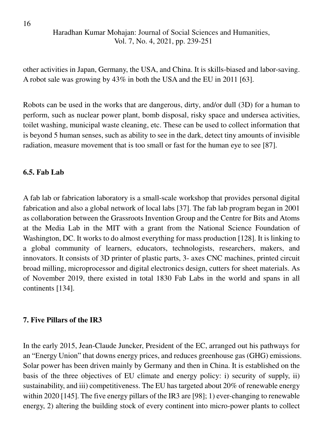other activities in Japan, Germany, the USA, and China. It is skills-biased and labor-saving. A robot sale was growing by 43% in both the USA and the EU in 2011 [63].

Robots can be used in the works that are dangerous, dirty, and/or dull (3D) for a human to perform, such as nuclear power plant, bomb disposal, risky space and undersea activities, toilet washing, municipal waste cleaning, etc. These can be used to collect information that is beyond 5 human senses, such as ability to see in the dark, detect tiny amounts of invisible radiation, measure movement that is too small or fast for the human eye to see [87].

## **6.5. Fab Lab**

A fab lab or fabrication laboratory is a small-scale workshop that provides personal digital fabrication and also a global network of local labs [37]. The fab lab program began in 2001 as collaboration between the Grassroots Invention Group and the Centre for Bits and Atoms at the Media Lab in the MIT with a grant from the National Science Foundation of Washington, DC. It works to do almost everything for mass production [128]. It is linking to a global community of learners, educators, technologists, researchers, makers, and innovators. It consists of 3D printer of plastic parts, 3- axes CNC machines, printed circuit broad milling, microprocessor and digital electronics design, cutters for sheet materials. As of November 2019, there existed in total 1830 Fab Labs in the world and spans in all continents [134].

## **7. Five Pillars of the IR3**

In the early 2015, Jean-Claude Juncker, President of the EC, arranged out his pathways for an "Energy Union" that downs energy prices, and reduces greenhouse gas (GHG) emissions. Solar power has been driven mainly by Germany and then in China. It is established on the basis of the three objectives of EU climate and energy policy: i) security of supply, ii) sustainability, and iii) competitiveness. The EU has targeted about 20% of renewable energy within 2020 [145]. The five energy pillars of the IR3 are [98]; 1) ever-changing to renewable energy, 2) altering the building stock of every continent into micro-power plants to collect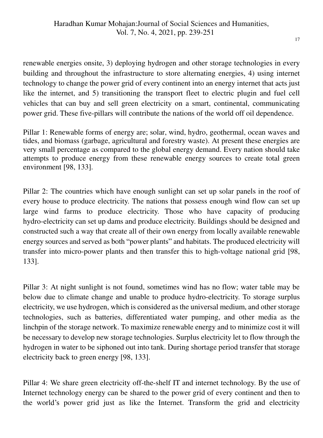renewable energies onsite, 3) deploying hydrogen and other storage technologies in every building and throughout the infrastructure to store alternating energies, 4) using internet technology to change the power grid of every continent into an energy internet that acts just like the internet, and 5) transitioning the transport fleet to electric plugin and fuel cell vehicles that can buy and sell green electricity on a smart, continental, communicating power grid. These five-pillars will contribute the nations of the world off oil dependence.

Pillar 1: Renewable forms of energy are; solar, wind, hydro, geothermal, ocean waves and tides, and biomass (garbage, agricultural and forestry waste). At present these energies are very small percentage as compared to the global energy demand. Every nation should take attempts to produce energy from these renewable energy sources to create total green environment [98, 133].

Pillar 2: The countries which have enough sunlight can set up solar panels in the roof of every house to produce electricity. The nations that possess enough wind flow can set up large wind farms to produce electricity. Those who have capacity of producing hydro-electricity can set up dams and produce electricity. Buildings should be designed and constructed such a way that create all of their own energy from locally available renewable energy sources and served as both "power plants" and habitats. The produced electricity will transfer into micro-power plants and then transfer this to high-voltage national grid [98, 133].

Pillar 3: At night sunlight is not found, sometimes wind has no flow; water table may be below due to climate change and unable to produce hydro-electricity. To storage surplus electricity, we use hydrogen, which is considered as the universal medium, and other storage technologies, such as batteries, differentiated water pumping, and other media as the linchpin of the storage network. To maximize renewable energy and to minimize cost it will be necessary to develop new storage technologies. Surplus electricity let to flow through the hydrogen in water to be siphoned out into tank. During shortage period transfer that storage electricity back to green energy [98, 133].

Pillar 4: We share green electricity off-the-shelf IT and internet technology. By the use of Internet technology energy can be shared to the power grid of every continent and then to the world"s power grid just as like the Internet. Transform the grid and electricity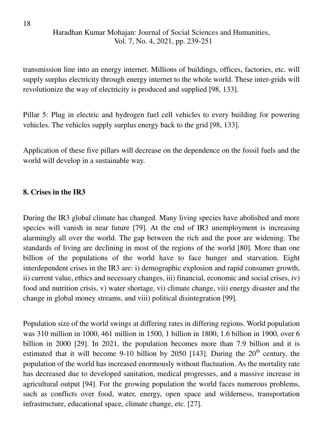transmission line into an energy internet. Millions of buildings, offices, factories, etc. will supply surplus electricity through energy internet to the whole world. These inter-grids will revolutionize the way of electricity is produced and supplied [98, 133].

Pillar 5: Plug in electric and hydrogen fuel cell vehicles to every building for powering vehicles. The vehicles supply surplus energy back to the grid [98, 133].

Application of these five pillars will decrease on the dependence on the fossil fuels and the world will develop in a sustainable way.

## **8. Crises in the IR3**

During the IR3 global climate has changed. Many living species have abolished and more species will vanish in near future [79]. At the end of IR3 unemployment is increasing alarmingly all over the world. The gap between the rich and the poor are widening. The standards of living are declining in most of the regions of the world [80]. More than one billion of the populations of the world have to face hunger and starvation. Eight interdependent crises in the IR3 are: i) demographic explosion and rapid consumer growth, ii) current value, ethics and necessary changes, iii) financial, economic and social crises, iv) food and nutrition crisis, v) water shortage, vi) climate change, vii) energy disaster and the change in global money streams, and viii) political disintegration [99].

Population size of the world swings at differing rates in differing regions. World population was 310 million in 1000, 461 million in 1500, 1 billion in 1800, 1.6 billion in 1900, over 6 billion in 2000 [29]. In 2021, the population becomes more than 7.9 billion and it is estimated that it will become 9-10 billion by 2050 [143]. During the  $20<sup>th</sup>$  century, the population of the world has increased enormously without fluctuation. As the mortality rate has decreased due to developed sanitation, medical progresses, and a massive increase in agricultural output [94]. For the growing population the world faces numerous problems, such as conflicts over food, water, energy, open space and wilderness, transportation infrastructure, educational space, climate change, etc. [27].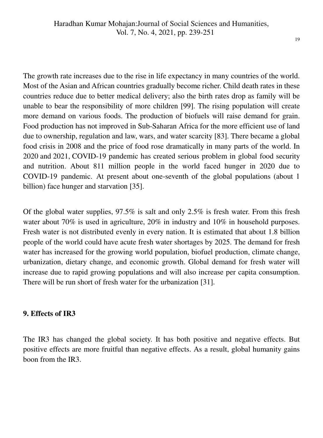The growth rate increases due to the rise in life expectancy in many countries of the world. Most of the Asian and African countries gradually become richer. Child death rates in these countries reduce due to better medical delivery; also the birth rates drop as family will be unable to bear the responsibility of more children [99]. The rising population will create more demand on various foods. The production of biofuels will raise demand for grain. Food production has not improved in Sub-Saharan Africa for the more efficient use of land due to ownership, regulation and law, wars, and water scarcity [83]. There became a global food crisis in 2008 and the price of food rose dramatically in many parts of the world. In 2020 and 2021, COVID-19 pandemic has created serious problem in global food security and nutrition. About 811 million people in the world faced hunger in 2020 due to COVID-19 pandemic. At present about one-seventh of the global populations (about 1 billion) face hunger and starvation [35].

Of the global water supplies, 97.5% is salt and only 2.5% is fresh water. From this fresh water about 70% is used in agriculture, 20% in industry and 10% in household purposes. Fresh water is not distributed evenly in every nation. It is estimated that about 1.8 billion people of the world could have acute fresh water shortages by 2025. The demand for fresh water has increased for the growing world population, biofuel production, climate change, urbanization, dietary change, and economic growth. Global demand for fresh water will increase due to rapid growing populations and will also increase per capita consumption. There will be run short of fresh water for the urbanization [31].

## **9. Effects of IR3**

The IR3 has changed the global society. It has both positive and negative effects. But positive effects are more fruitful than negative effects. As a result, global humanity gains boon from the IR3.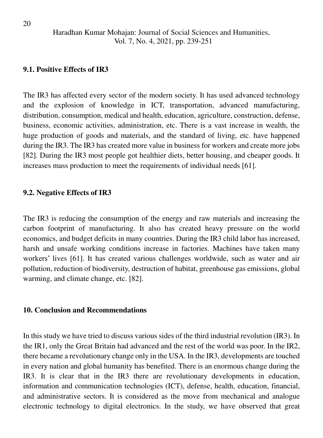#### **9.1. Positive Effects of IR3**

The IR3 has affected every sector of the modern society. It has used advanced technology and the explosion of knowledge in ICT, transportation, advanced manufacturing, distribution, consumption, medical and health, education, agriculture, construction, defense, business, economic activities, administration, etc. There is a vast increase in wealth, the huge production of goods and materials, and the standard of living, etc. have happened during the IR3. The IR3 has created more value in business for workers and create more jobs [82]. During the IR3 most people got healthier diets, better housing, and cheaper goods. It increases mass production to meet the requirements of individual needs [61].

#### **9.2. Negative Effects of IR3**

The IR3 is reducing the consumption of the energy and raw materials and increasing the carbon footprint of manufacturing. It also has created heavy pressure on the world economics, and budget deficits in many countries. During the IR3 child labor has increased, harsh and unsafe working conditions increase in factories. Machines have taken many workers' lives [61]. It has created various challenges worldwide, such as water and air pollution, reduction of biodiversity, destruction of habitat, greenhouse gas emissions, global warming, and climate change, etc. [82].

#### **10. Conclusion and Recommendations**

In this study we have tried to discuss various sides of the third industrial revolution (IR3). In the IR1, only the Great Britain had advanced and the rest of the world was poor. In the IR2, there became a revolutionary change only in the USA. In the IR3, developments are touched in every nation and global humanity has benefited. There is an enormous change during the IR3. It is clear that in the IR3 there are revolutionary developments in education, information and communication technologies (ICT), defense, health, education, financial, and administrative sectors. It is considered as the move from mechanical and analogue electronic technology to digital electronics. In the study, we have observed that great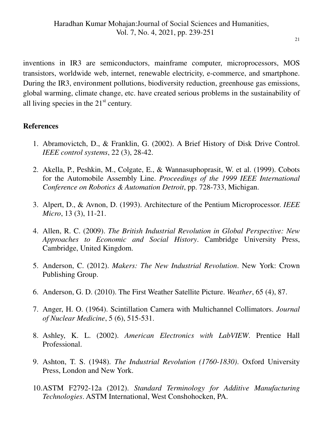inventions in IR3 are semiconductors, mainframe computer, microprocessors, MOS transistors, worldwide web, internet, renewable electricity, e-commerce, and smartphone. During the IR3, environment pollutions, biodiversity reduction, greenhouse gas emissions, global warming, climate change, etc. have created serious problems in the sustainability of all living species in the  $21<sup>st</sup>$  century.

## **References**

- 1. Abramovictch, D., & Franklin, G. (2002). A Brief History of Disk Drive Control. *IEEE control systems*, 22 (3), 28-42.
- 2. Akella, P., Peshkin, M., Colgate, E., & Wannasuphoprasit, W. et al. (1999). Cobots for the Automobile Assembly Line. *Proceedings of the 1999 IEEE International Conference on Robotics & Automation Detroit*, pp. 728-733, Michigan.
- 3. Alpert, D., & Avnon, D. (1993). Architecture of the Pentium Microprocessor. *IEEE Micro*, 13 (3), 11-21.
- 4. Allen, R. C. (2009). *The British Industrial Revolution in Global Perspective: New Approaches to Economic and Social History*. Cambridge University Press, Cambridge, United Kingdom.
- 5. Anderson, C. (2012). *Makers: The New Industrial Revolution*. New York: Crown Publishing Group.
- 6. Anderson, G. D. (2010). The First Weather Satellite Picture. *Weather*, 65 (4), 87.
- 7. Anger, H. O. (1964). Scintillation Camera with Multichannel Collimators. *Journal of Nuclear Medicine*, 5 (6), 515-531.
- 8. Ashley, K. L. (2002). *American Electronics with LabVIEW*. Prentice Hall Professional.
- 9. Ashton, T. S. (1948). *The Industrial Revolution (1760-1830)*. Oxford University Press, London and New York.
- 10.ASTM F2792-12a (2012). *Standard Terminology for Additive Manufacturing Technologies*. ASTM International, West Conshohocken, PA.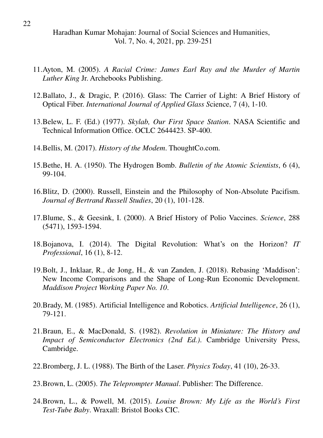- 11.Ayton, M. (2005). *A Racial Crime: James Earl Ray and the Murder of Martin Luther King* Jr. Archebooks Publishing.
- 12.Ballato, J., & Dragic, P. (2016). Glass: The Carrier of Light: A Brief History of Optical Fiber. *International Journal of Applied Glass S*cience, 7 (4), 1-10.
- 13.Belew, L. F. (Ed.) (1977). *Skylab, Our First Space Station*. NASA Scientific and Technical Information Office. OCLC 2644423. SP-400.
- 14.Bellis, M. (2017). *History of the Modem*. ThoughtCo.com.
- 15.Bethe, H. A. (1950). The Hydrogen Bomb. *Bulletin of the Atomic Scientists*, 6 (4), 99-104.
- 16.Blitz, D. (2000). Russell, Einstein and the Philosophy of Non-Absolute Pacifism. *Journal of Bertrand Russell Studies*, 20 (1), 101-128.
- 17.Blume, S., & Geesink, I. (2000). A Brief History of Polio Vaccines. *Science*, 288 (5471), 1593-1594.
- 18.Bojanova, I. (2014). The Digital Revolution: What"s on the Horizon? *IT Professional*, 16 (1), 8-12.
- 19.Bolt, J., Inklaar, R., de Jong, H., & van Zanden, J. (2018). Rebasing "Maddison": New Income Comparisons and the Shape of Long-Run Economic Development. *Maddison Project Working Paper No. 10*.
- 20.Brady, M. (1985). Artificial Intelligence and Robotics. *Artificial Intelligence*, 26 (1), 79-121.
- 21.Braun, E., & MacDonald, S. (1982). *Revolution in Miniature: The History and Impact of Semiconductor Electronics (2nd Ed.)*. Cambridge University Press, Cambridge.
- 22.Bromberg, J. L. (1988). The Birth of the Laser. *Physics Today*, 41 (10), 26-33.
- 23.Brown, L. (2005). *The Teleprompter Manual*. Publisher: The Difference.
- 24.Brown, L., & Powell, M. (2015). *Louise Brown: My Life as the World's First Test-Tube Baby*. Wraxall: Bristol Books CIC.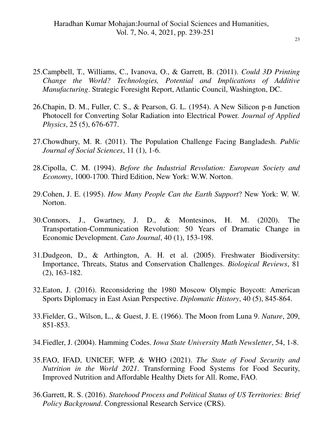- 25.Campbell, T., Williams, C., Ivanova, O., & Garrett, B. (2011). *Could 3D Printing Change the World? Technologies, Potential and Implications of Additive Manufacturing*. Strategic Foresight Report, Atlantic Council, Washington, DC.
- 26.Chapin, D. M., Fuller, C. S., & Pearson, G. L. (1954). A New Silicon p-n Junction Photocell for Converting Solar Radiation into Electrical Power. *Journal of Applied Physics*, 25 (5), 676-677.
- 27.Chowdhury, M. R. (2011). The Population Challenge Facing Bangladesh. *Public Journal of Social Sciences*, 11 (1), 1-6.
- 28.Cipolla, C. M. (1994). *Before the Industrial Revolution: European Society and Economy*, 1000-1700. Third Edition, New York: W.W. Norton.
- 29.Cohen, J. E. (1995). *How Many People Can the Earth Support*? New York: W. W. Norton.
- 30.Connors, J., Gwartney, J. D., & Montesinos, H. M. (2020). The Transportation-Communication Revolution: 50 Years of Dramatic Change in Economic Development. *Cato Journal*, 40 (1), 153-198.
- 31.Dudgeon, D., & Arthington, A. H. et al. (2005). Freshwater Biodiversity: Importance, Threats, Status and Conservation Challenges. *Biological Reviews*, 81 (2), 163-182.
- 32.Eaton, J. (2016). Reconsidering the 1980 Moscow Olympic Boycott: American Sports Diplomacy in East Asian Perspective. *Diplomatic History*, 40 (5), 845-864.
- 33.Fielder, G., Wilson, L., & Guest, J. E. (1966). The Moon from Luna 9. *Nature*, 209, 851-853.
- 34.Fiedler, J. (2004). Hamming Codes. *Iowa State University Math Newsletter*, 54, 1-8.
- 35.FAO, IFAD, UNICEF, WFP, & WHO (2021). *The State of Food Security and Nutrition in the World 2021*. Transforming Food Systems for Food Security, Improved Nutrition and Affordable Healthy Diets for All. Rome, FAO.
- 36.Garrett, R. S. (2016). *Statehood Process and Political Status of US Territories: Brief Policy Background*. Congressional Research Service (CRS).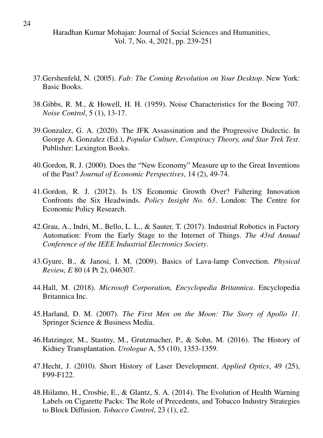- 37.Gershenfeld, N. (2005). *Fab: The Coming Revolution on Your Desktop*. New York: Basic Books.
- 38.Gibbs, R. M., & Howell, H. H. (1959). Noise Characteristics for the Boeing 707. *Noise Control*, 5 (1), 13-17.
- 39.Gonzalez, G. A. (2020). The JFK Assassination and the Progressive Dialectic. In George A. Gonzalez (Ed.), *Popular Culture, Conspiracy Theory, and Star Trek Text*. Publisher: Lexington Books.
- 40.Gordon, R. J. (2000). Does the "New Economy" Measure up to the Great Inventions of the Past? *Journal of Economic Perspectives*, 14 (2), 49-74.
- 41.Gordon, R. J. (2012). Is US Economic Growth Over? Faltering Innovation Confronts the Six Headwinds. *Policy Insight No. 63*. London: The Centre for Economic Policy Research.
- 42.Grau, A., Indri, M., Bello, L. L., & Sauter, T. (2017). Industrial Robotics in Factory Automation: From the Early Stage to the Internet of Things. *The 43rd Annual Conference of the IEEE Industrial Electronics Society*.
- 43.Gyure, B., & Janosi, I. M. (2009). Basics of Lava-lamp Convection. *Physical Review, E* 80 (4 Pt 2), 046307.
- 44.Hall, M. (2018). *Microsoft Corporation, Encyclopedia Britannica*. Encyclopedia Britannica Inc.
- 45.Harland, D. M. (2007). *The First Men on the Moon: The Story of Apollo 11*. Springer Science & Business Media.
- 46.Hatzinger, M., Stastny, M., Grutzmacher, P., & Sohn, M. (2016). The History of Kidney Transplantation. *Urologue* A, 55 (10), 1353-1359.
- 47.Hecht, J. (2010). Short History of Laser Development. *Applied Optics*, 49 (25), F99-F122.
- 48.Hiilamo, H., Crosbie, E., & Glantz, S. A. (2014). The Evolution of Health Warning Labels on Cigarette Packs: The Role of Precedents, and Tobacco Industry Strategies to Block Diffusion. *Tobacco Control*, 23 (1), e2.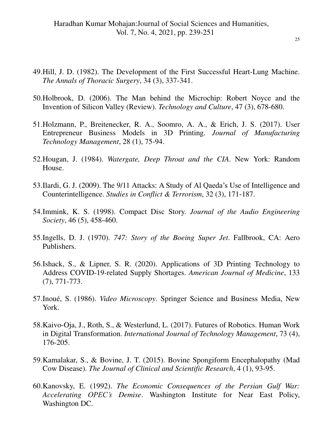- 49.Hill, J. D. (1982). The Development of the First Successful Heart-Lung Machine. *The Annals of Thoracic Surgery*, 34 (3), 337-341.
- 50.Holbrook, D. (2006). The Man behind the Microchip: Robert Noyce and the Invention of Silicon Valley (Review). *Technology and Culture*, 47 (3), 678-680.
- 51.Holzmann, P., Breitenecker, R. A., Soomro, A. A., & Erich, J. S. (2017). User Entrepreneur Business Models in 3D Printing. *Journal of Manufacturing Technology Management*, 28 (1), 75-94.
- 52.Hougan, J. (1984). *Watergate, Deep Throat and the CIA*. New York: Random House.
- 53.Ilardi, G. J. (2009). The 9/11 Attacks: A Study of Al Qaeda"s Use of Intelligence and Counterintelligence. *Studies in Conflict & Terrorism*, 32 (3), 171-187.
- 54.Immink, K. S. (1998). Compact Disc Story. *Journal of the Audio Engineering Society*, 46 (5), 458-460.
- 55.Ingells, D. J. (1970). *747: Story of the Boeing Super Jet*. Fallbrook, CA: Aero Publishers.
- 56.Ishack, S., & Lipner, S. R. (2020). Applications of 3D Printing Technology to Address COVID-19-related Supply Shortages. *American Journal of Medicine*, 133 (7), 771-773.
- 57.Inoué, S. (1986). *Video Microscopy*. Springer Science and Business Media, New York.
- 58.Kaivo-Oja, J., Roth, S., & Westerlund, L. (2017). Futures of Robotics. Human Work in Digital Transformation. *International Journal of Technology Management*, 73 (4), 176-205.
- 59.Kamalakar, S., & Bovine, J. T. (2015). Bovine Spongiform Encephalopathy (Mad Cow Disease). *The Journal of Clinical and Scientific Research*, 4 (1), 93-95.
- 60.Kanovsky, E. (1992). *The Economic Consequences of the Persian Gulf War: Accelerating OPEC's Demise*. Washington Institute for Near East Policy, Washington DC.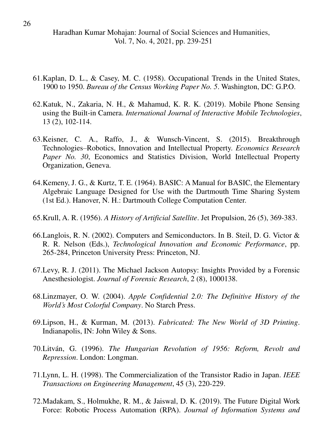- 61.Kaplan, D. L., & Casey, M. C. (1958). Occupational Trends in the United States, 1900 to 1950. *Bureau of the Census Working Paper No. 5*. Washington, DC: G.P.O.
- 62.Katuk, N., Zakaria, N. H., & Mahamud, K. R. K. (2019). Mobile Phone Sensing using the Built-in Camera. *International Journal of Interactive Mobile Technologies*, 13 (2), 102-114.
- 63.Keisner, C. A., Raffo, J., & Wunsch-Vincent, S. (2015). Breakthrough Technologies–Robotics, Innovation and Intellectual Property. *Economics Research Paper No. 30*, Economics and Statistics Division, World Intellectual Property Organization, Geneva.
- 64.Kemeny, J. G., & Kurtz, T. E. (1964). BASIC: A Manual for BASIC, the Elementary Algebraic Language Designed for Use with the Dartmouth Time Sharing System (1st Ed.). Hanover, N. H.: Dartmouth College Computation Center.
- 65.Krull, A. R. (1956). *A History of Artificial Satellite*. Jet Propulsion, 26 (5), 369-383.
- 66.Langlois, R. N. (2002). Computers and Semiconductors. In B. Steil, D. G. Victor & R. R. Nelson (Eds.), *Technological Innovation and Economic Performance*, pp. 265-284, Princeton University Press: Princeton, NJ.
- 67.Levy, R. J. (2011). The Michael Jackson Autopsy: Insights Provided by a Forensic Anesthesiologist. *Journal of Forensic Research*, 2 (8), 1000138.
- 68.Linzmayer, O. W. (2004). *Apple Confidential 2.0: The Definitive History of the World's Most Colorful Company*. No Starch Press.
- 69.Lipson, H., & Kurman, M. (2013). *Fabricated: The New World of 3D Printing*. Indianapolis, IN: John Wiley & Sons.
- 70.Litván, G. (1996). *The Hungarian Revolution of 1956: Reform, Revolt and Repression*. London: Longman.
- 71.Lynn, L. H. (1998). The Commercialization of the Transistor Radio in Japan. *IEEE Transactions on Engineering Management*, 45 (3), 220-229.
- 72.Madakam, S., Holmukhe, R. M., & Jaiswal, D. K. (2019). The Future Digital Work Force: Robotic Process Automation (RPA). *Journal of Information Systems and*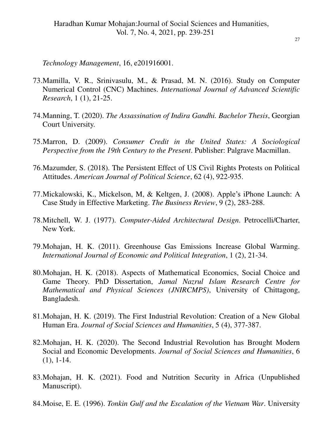*Technology Management*, 16, e201916001.

- 73.Mamilla, V. R., Srinivasulu, M., & Prasad, M. N. (2016). Study on Computer Numerical Control (CNC) Machines. *International Journal of Advanced Scientific Research*, 1 (1), 21-25.
- 74.Manning, T. (2020). *The Assassination of Indira Gandhi. Bachelor Thesis*, Georgian Court University.
- 75.Marron, D. (2009). *Consumer Credit in the United States: A Sociological Perspective from the 19th Century to the Present*. Publisher: Palgrave Macmillan.
- 76.Mazumder, S. (2018). The Persistent Effect of US Civil Rights Protests on Political Attitudes. *American Journal of Political Science*, 62 (4), 922-935.
- 77.Mickalowski, K., Mickelson, M, & Keltgen, J. (2008). Apple"s iPhone Launch: A Case Study in Effective Marketing. *The Business Review*, 9 (2), 283-288.
- 78.Mitchell, W. J. (1977). *Computer-Aided Architectural Design*. Petrocelli/Charter, New York.
- 79.Mohajan, H. K. (2011). Greenhouse Gas Emissions Increase Global Warming. *International Journal of Economic and Political Integration*, 1 (2), 21-34.
- 80.Mohajan, H. K. (2018). Aspects of Mathematical Economics, Social Choice and Game Theory. PhD Dissertation, *Jamal Nazrul Islam Research Centre for Mathematical and Physical Sciences (JNIRCMPS)*, University of Chittagong, Bangladesh.
- 81.Mohajan, H. K. (2019). The First Industrial Revolution: Creation of a New Global Human Era. *Journal of Social Sciences and Humanities*, 5 (4), 377-387.
- 82.Mohajan, H. K. (2020). The Second Industrial Revolution has Brought Modern Social and Economic Developments. *Journal of Social Sciences and Humanities*, 6 (1), 1-14.
- 83.Mohajan, H. K. (2021). Food and Nutrition Security in Africa (Unpublished Manuscript).
- 84.Moise, E. E. (1996). *Tonkin Gulf and the Escalation of the Vietnam War*. University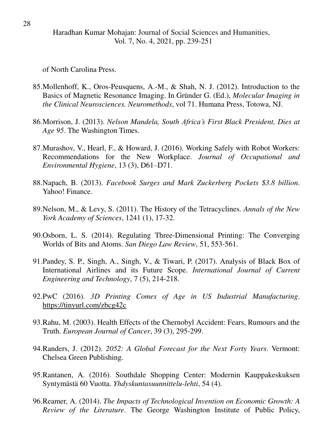of North Carolina Press.

- 85.Mollenhoff, K., Oros-Peusquens, A.-M., & Shah, N. J. (2012). Introduction to the Basics of Magnetic Resonance Imaging. In Gründer G. (Ed.), *Molecular Imaging in the Clinical Neurosciences. Neuromethods*, vol 71. Humana Press, Totowa, NJ.
- 86.Morrison, J. (2013). *Nelson Mandela, South Africa's First Black President, Dies at Age 95*. The Washington Times.
- 87.Murashov, V., Hearl, F., & Howard, J. (2016). Working Safely with Robot Workers: Recommendations for the New Workplace. *Journal of Occupational and Environmental Hygiene*, 13 (3), D61–D71.
- 88.Napach, B. (2013). *Facebook Surges and Mark Zuckerberg Pockets \$3.8 billion*. Yahoo! Finance.
- 89.Nelson, M., & Levy, S. (2011). The History of the Tetracyclines. *Annals of the New York Academy of Sciences*, 1241 (1), 17-32.
- 90.Osborn, L. S. (2014). Regulating Three-Dimensional Printing: The Converging Worlds of Bits and Atoms. *San Diego Law Review*, 51, 553-561.
- 91.Pandey, S. P., Singh, A., Singh, V., & Tiwari, P. (2017). Analysis of Black Box of International Airlines and its Future Scope. *International Journal of Current Engineering and Technology*, 7 (5), 214-218.
- 92.PwC (2016). *3D Printing Comes of Age in US Industrial Manufacturing*. <https://tinyurl.com/zbcg42c>
- 93.Rahu, M. (2003). Health Effects of the Chernobyl Accident: Fears, Rumours and the Truth. *European Journal of Cancer*, 39 (3), 295-299.
- 94.Randers, J. (2012). *2052: A Global Forecast for the Next Forty Years*. Vermont: Chelsea Green Publishing.
- 95.Rantanen, A. (2016). Southdale Shopping Center: Modernin Kauppakeskuksen Syntymästä 60 Vuotta. *Yhdyskuntasuunnittelu-lehti*, 54 (4).
- 96.Reamer, A. (2014). *The Impacts of Technological Invention on Economic Growth: A Review of the Literature*. The George Washington Institute of Public Policy,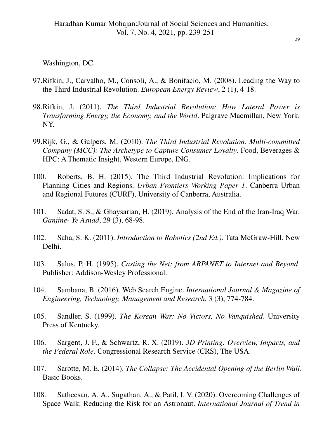Washington, DC.

- 97.Rifkin, J., Carvalho, M., Consoli, A., & Bonifacio, M. (2008). Leading the Way to the Third Industrial Revolution. *European Energy Review*, 2 (1), 4-18.
- 98.Rifkin, J. (2011). *The Third Industrial Revolution: How Lateral Power is Transforming Energy, the Economy, and the World*. Palgrave Macmillan, New York, NY.
- 99.Rijk, G., & Gulpers, M. (2010). *The Third Industrial Revolution. Multi-committed Company (MCC): The Archetype to Capture Consumer Loyalty*. Food, Beverages & HPC: A Thematic Insight, Western Europe, ING.
- 100. Roberts, B. H. (2015). The Third Industrial Revolution: Implications for Planning Cities and Regions. *Urban Frontiers Working Paper 1*. Canberra Urban and Regional Futures (CURF), University of Canberra, Australia.
- 101. Sadat, S. S., & Ghaysarian, H. (2019). Analysis of the End of the Iran-Iraq War. *Ganjine- Ye Asnad*, 29 (3), 68-98.
- 102. Saha, S. K. (2011). *Introduction to Robotics (2nd Ed.)*. Tata McGraw-Hill, New Delhi.
- 103. Salus, P. H. (1995). *Casting the Net: from ARPANET to Internet and Beyond*. Publisher: Addison-Wesley Professional.
- 104. Sambana, B. (2016). Web Search Engine. *International Journal & Magazine of Engineering, Technology, Management and Research*, 3 (3), 774-784.
- 105. Sandler, S. (1999). *The Korean War: No Victors, No Vanquished*. University Press of Kentucky.
- 106. Sargent, J. F., & Schwartz, R. X. (2019). *3D Printing: Overview, Impacts, and the Federal Role*. Congressional Research Service (CRS), The USA.
- 107. Sarotte, M. E. (2014). *The Collapse: The Accidental Opening of the Berlin Wall*. Basic Books.
- 108. Satheesan, A. A., Sugathan, A., & Patil, I. V. (2020). Overcoming Challenges of Space Walk: Reducing the Risk for an Astronaut. *International Journal of Trend in*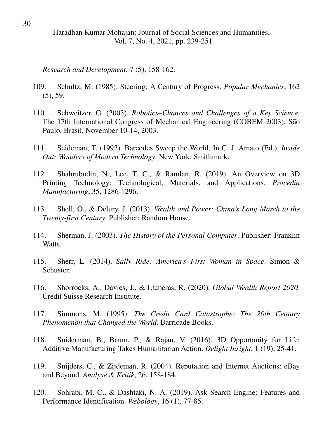*Research and Development*, 7 (5), 158-162.

- 109. Schultz, M. (1985). Steering: A Century of Progress. *Popular Mechanics*, 162 (5), 59.
- 110. Schweitzer, G. (2003). *Robotics–Chances and Challenges of a Key Science*. The 17th International Congress of Mechanical Engineering (COBEM 2003), São Paulo, Brasil, November 10-14, 2003.
- 111. Seideman, T. (1992). Barcodes Sweep the World. In C. J. Amato (Ed.), *Inside Out: Wonders of Modern Technology*. New York: Smithmark.
- 112. Shahrubudin, N., Lee, T. C., & Ramlan, R. (2019). An Overview on 3D Printing Technology: Technological, Materials, and Applications. *Procedia Manufacturing*, 35, 1286-1296.
- 113. Shell, O., & Delury, J. (2013). *Wealth and Power: China's Long March to the Twenty-first Century*. Publisher: Random House.
- 114. Sherman, J. (2003). *The History of the Personal Computer*. Publisher: Franklin Watts.
- 115. Sherr, L. (2014). *Sally Ride: America's First Woman in Space*. Simon & Schuster.
- 116. Shorrocks, A., Davies, J., & Lluberas, R. (2020). *Global Wealth Report 2020*. Credit Suisse Research Institute.
- 117. Simmons, M. (1995). *The Credit Card Catastrophe: The 20th Century Phenomenon that Changed the World*. Barricade Books.
- 118. Sniderman, B., Baum, P., & Rajan, V. (2016). 3D Opportunity for Life: Additive Manufacturing Takes Humanitarian Action. *Delight Insight*, 1 (19), 25-41.
- 119. Snijders, C., & Zijdeman, R. (2004). Reputation and Internet Auctions: eBay and Beyond. *Analyse & Kritik*, 26, 158-184.
- 120. Sohrabi, M. C., & Dashtaki, N. A. (2019). Ask Search Engine: Features and Performance Identification. *Webology*, 16 (1), 77-85.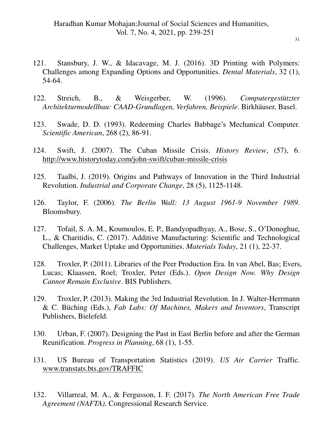- 121. Stansbury, J. W., & Idacavage, M. J. (2016). 3D Printing with Polymers: Challenges among Expanding Options and Opportunities. *Dental Materials*, 32 (1), 54-64.
- 122. Streich, B., & Weisgerber, W. (1996). *Computergestützter Architekturmodellbau: CAAD-Grundlagen, Verfahren, Beispiele*. Birkhäuser, Basel.
- 123. Swade, D. D. (1993). Redeeming Charles Babbage's Mechanical Computer. *Scientific American*, 268 (2), 86-91.
- 124. Swift, J. (2007). The Cuban Missile Crisis. *History Review*, (57), 6. <http://www.historytoday.com/john-swift/cuban-missile-crisis>
- 125. Taalbi, J. (2019). Origins and Pathways of Innovation in the Third Industrial Revolution. *Industrial and Corporate Change*, 28 (5), 1125-1148.
- 126. Taylor, F. (2006). *The Berlin Wall: 13 August 1961-9 November 1989*. Bloomsbury.
- 127. Tofail, S. A. M., Koumoulos, E. P., Bandyopadhyay, A., Bose, S., O"Donoghue, L., & Charitidis, C. (2017). Additive Manufacturing: Scientific and Technological Challenges, Market Uptake and Opportunities. *Materials Today*, 21 (1), 22-37.
- 128. Troxler, P. (2011). Libraries of the Peer Production Era. In van Abel, Bas; Evers, Lucas; Klaassen, Roel; Troxler, Peter (Eds.). *Open Design Now. Why Design Cannot Remain Exclusive*. BIS Publishers.
- 129. Troxler, P. (2013). Making the 3rd Industrial Revolution. In J. Walter-Herrmann & C. Büching (Eds.), *Fab Labs: Of Machines, Makers and Inventors*, Transcript Publishers, Bielefeld.
- 130. Urban, F. (2007). Designing the Past in East Berlin before and after the German Reunification. *Progress in Planning*, 68 (1), 1-55.
- 131. US Bureau of Transportation Statistics (2019). *US Air Carrier* Traffic. [www.transtats.bts.gov/TRAFFIC](http://www.transtats.bts.gov/TRAFFIC)
- 132. Villarreal, M. A., & Fergusson, I. F. (2017). *The North American Free Trade Agreement (NAFTA)*. Congressional Research Service.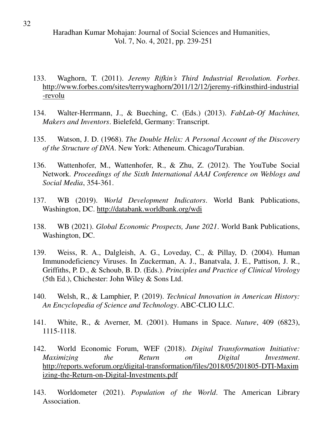- 133. Waghorn, T. (2011). *Jeremy Rifkin's Third Industrial Revolution. Forbes*. [http://www.forbes.com/sites/terrywaghorn/2011/12/12/jeremy-rifkinsthird-industrial](http://www.forbes.com/sites/terrywaghorn/2011/12/12/jeremy-rifkinsthird-industrial-revolu) [-revolu](http://www.forbes.com/sites/terrywaghorn/2011/12/12/jeremy-rifkinsthird-industrial-revolu)
- 134. Walter-Herrmann, J., & Bueching, C. (Eds.) (2013). *FabLab-Of Machines, Makers and Inventors*. Bielefeld, Germany: Transcript.
- 135. Watson, J. D. (1968). *The Double Helix: A Personal Account of the Discovery of the Structure of DNA*. New York: Atheneum. Chicago/Turabian.
- 136. Wattenhofer, M., Wattenhofer, R., & Zhu, Z. (2012). The YouTube Social Network. *Proceedings of the Sixth International AAAI Conference on Weblogs and Social Media*, 354-361.
- 137. WB (2019). *World Development Indicators*. World Bank Publications, Washington, DC.<http://databank.worldbank.org/wdi>
- 138. WB (2021). *Global Economic Prospects, June 2021*. World Bank Publications, Washington, DC.
- 139. Weiss, R. A., Dalgleish, A. G., Loveday, C., & Pillay, D. (2004). Human Immunodeficiency Viruses. In Zuckerman, A. J., Banatvala, J. E., Pattison, J. R., Griffiths, P. D., & Schoub, B. D. (Eds.). *Principles and Practice of Clinical Virology* (5th Ed.), Chichester: John Wiley & Sons Ltd.
- 140. Welsh, R., & Lamphier, P. (2019). *Technical Innovation in American History: An Encyclopedia of Science and Technology*. ABC-CLIO LLC.
- 141. White, R., & Averner, M. (2001). Humans in Space. *Nature*, 409 (6823), 1115-1118.
- 142. World Economic Forum, WEF (2018). *Digital Transformation Initiative: Maximizing the Return on Digital Investment*. [http://reports.weforum.org/digital-transformation/files/2018/05/201805-DTI-Maxim](http://reports.weforum.org/digital-transformation/files/2018/05/201805-DTI-Maximizing-the-Return-on-Digital-Investments.pdf) [izing-the-Return-on-Digital-Investments.pdf](http://reports.weforum.org/digital-transformation/files/2018/05/201805-DTI-Maximizing-the-Return-on-Digital-Investments.pdf)
- 143. Worldometer (2021). *Population of the World*. The American Library Association.